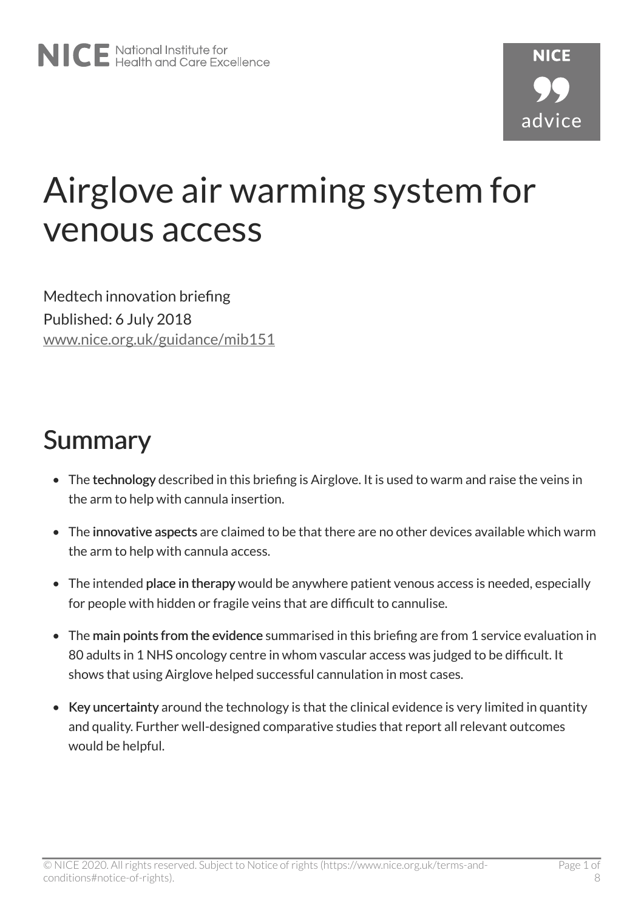# Airglove air warming system for venous access

Medtech innovation briefing Published: 6 July 2018 [www.nice.org.uk/guidance/mib151](https://www.nice.org.uk/guidance/mib151)

### **Summary**

- The technology described in this briefing is Airglove. It is used to warm and raise the veins in the arm to help with cannula insertion.
- The innovative aspects are claimed to be that there are no other devices available which warm the arm to help with cannula access.
- The intended place in therapy would be anywhere patient venous access is needed, especially for people with hidden or fragile veins that are difficult to cannulise.
- The main points from the evidence summarised in this briefing are from 1 service evaluation in 80 adults in 1 NHS oncology centre in whom vascular access was judged to be difficult. It shows that using Airglove helped successful cannulation in most cases.
- Key uncertainty around the technology is that the clinical evidence is very limited in quantity and quality. Further well-designed comparative studies that report all relevant outcomes would be helpful.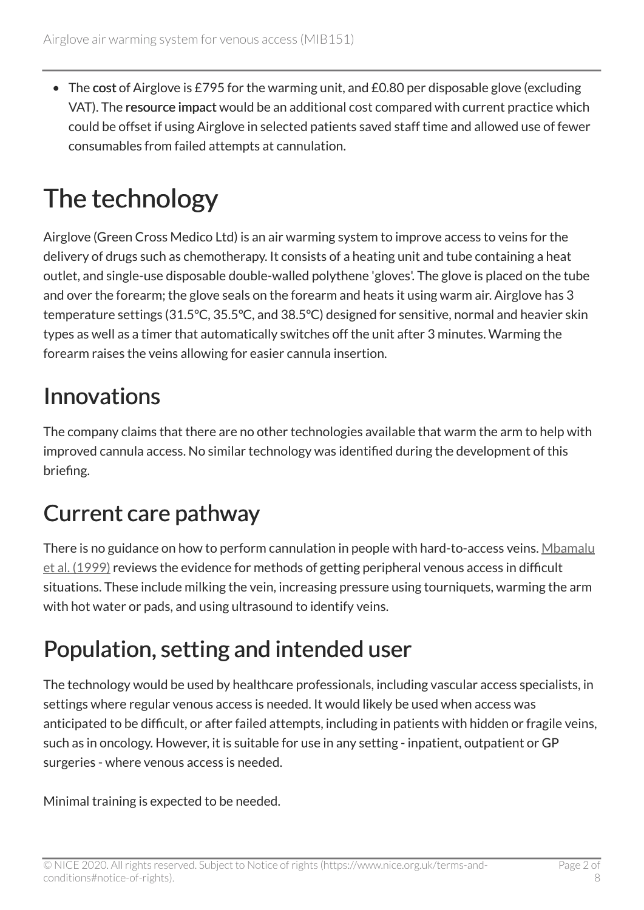• The cost of Airglove is £795 for the warming unit, and £0.80 per disposable glove (excluding VAT). The resource impact would be an additional cost compared with current practice which could be offset if using Airglove in selected patients saved staff time and allowed use of fewer consumables from failed attempts at cannulation.

## The technology

Airglove (Green Cross Medico Ltd) is an air warming system to improve access to veins for the delivery of drugs such as chemotherapy. It consists of a heating unit and tube containing a heat outlet, and single-use disposable double-walled polythene 'gloves'. The glove is placed on the tube and over the forearm; the glove seals on the forearm and heats it using warm air. Airglove has 3 temperature settings (31.5ºC, 35.5ºC, and 38.5ºC) designed for sensitive, normal and heavier skin types as well as a timer that automatically switches off the unit after 3 minutes. Warming the forearm raises the veins allowing for easier cannula insertion.

#### **Innovations**

The company claims that there are no other technologies available that warm the arm to help with improved cannula access. No similar technology was identified during the development of this briefing.

### Current care pathway

There is no guidance on how to perform cannulation in people with hard-to-access veins. [Mbamalu](https://pmj.bmj.com/content/75/886/459) [et al. \(1999\)](https://pmj.bmj.com/content/75/886/459) reviews the evidence for methods of getting peripheral venous access in difficult situations. These include milking the vein, increasing pressure using tourniquets, warming the arm with hot water or pads, and using ultrasound to identify veins.

#### Population, setting and intended user

The technology would be used by healthcare professionals, including vascular access specialists, in settings where regular venous access is needed. It would likely be used when access was anticipated to be difficult, or after failed attempts, including in patients with hidden or fragile veins, such as in oncology. However, it is suitable for use in any setting - inpatient, outpatient or GP surgeries - where venous access is needed.

Minimal training is expected to be needed.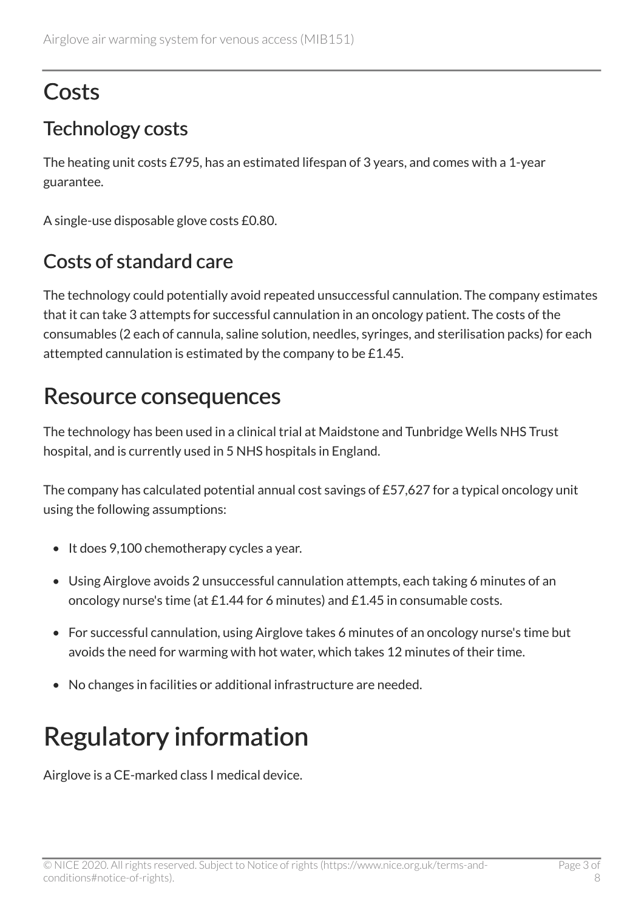### **Costs**

#### Technology costs

The heating unit costs £795, has an estimated lifespan of 3 years, and comes with a 1-year guarantee.

A single-use disposable glove costs £0.80.

#### Costs of standard care

The technology could potentially avoid repeated unsuccessful cannulation. The company estimates that it can take 3 attempts for successful cannulation in an oncology patient. The costs of the consumables (2 each of cannula, saline solution, needles, syringes, and sterilisation packs) for each attempted cannulation is estimated by the company to be £1.45.

#### Resource consequences

The technology has been used in a clinical trial at Maidstone and Tunbridge Wells NHS Trust hospital, and is currently used in 5 NHS hospitals in England.

The company has calculated potential annual cost savings of £57,627 for a typical oncology unit using the following assumptions:

- It does 9,100 chemotherapy cycles a year.
- Using Airglove avoids 2 unsuccessful cannulation attempts, each taking 6 minutes of an oncology nurse's time (at £1.44 for 6 minutes) and £1.45 in consumable costs.
- For successful cannulation, using Airglove takes 6 minutes of an oncology nurse's time but avoids the need for warming with hot water, which takes 12 minutes of their time.
- No changes in facilities or additional infrastructure are needed.

## Regulatory information

Airglove is a CE-marked class I medical device.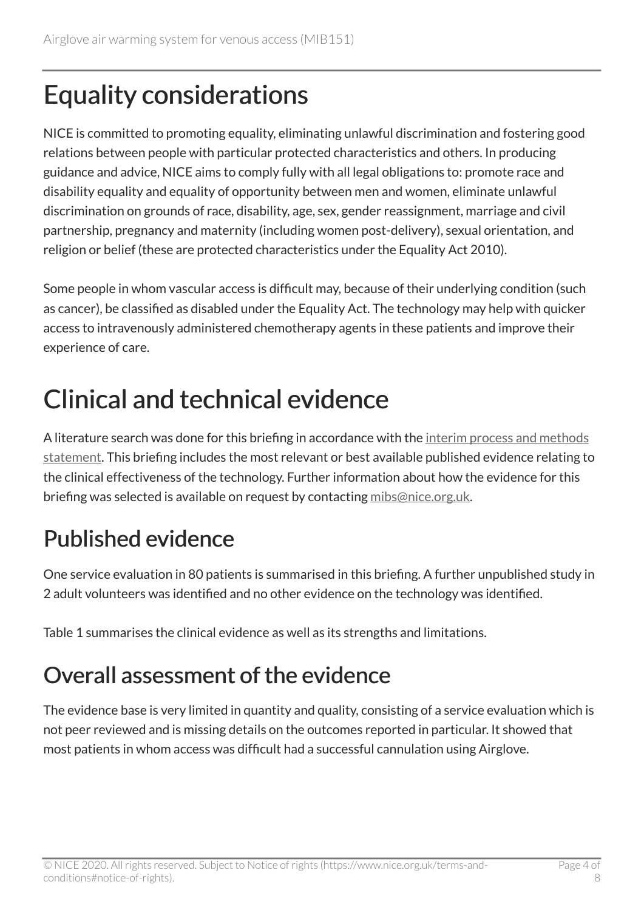## Equality considerations

NICE is committed to promoting equality, eliminating unlawful discrimination and fostering good relations between people with particular protected characteristics and others. In producing guidance and advice, NICE aims to comply fully with all legal obligations to: promote race and disability equality and equality of opportunity between men and women, eliminate unlawful discrimination on grounds of race, disability, age, sex, gender reassignment, marriage and civil partnership, pregnancy and maternity (including women post-delivery), sexual orientation, and religion or belief (these are protected characteristics under the Equality Act 2010).

Some people in whom vascular access is difficult may, because of their underlying condition (such as cancer), be classified as disabled under the Equality Act. The technology may help with quicker access to intravenously administered chemotherapy agents in these patients and improve their experience of care.

## Clinical and technical evidence

A literature search was done for this briefing in accordance with the interim process and methods [statement.](https://www.nice.org.uk/Media/Default/About/what-we-do/NICE-advice/Medtech-innovation-briefings/MIB-interim-process-methods-statement.pdf) This briefing includes the most relevant or best available published evidence relating to the clinical effectiveness of the technology. Further information about how the evidence for this briefing was selected is available on request by contacting [mibs@nice.org.uk.](mailto:mibs@nice.org.uk)

### Published evidence

One service evaluation in 80 patients is summarised in this briefing. A further unpublished study in 2 adult volunteers was identified and no other evidence on the technology was identified.

Table 1 summarises the clinical evidence as well as its strengths and limitations.

#### Overall assessment of the evidence

The evidence base is very limited in quantity and quality, consisting of a service evaluation which is not peer reviewed and is missing details on the outcomes reported in particular. It showed that most patients in whom access was difficult had a successful cannulation using Airglove.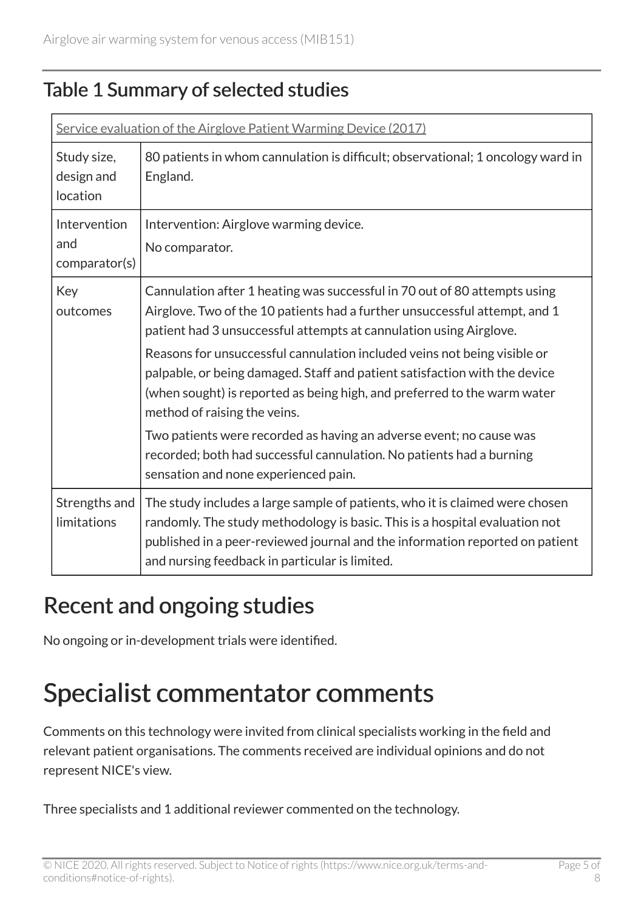#### Table 1 Summary of selected studies

| Service evaluation of the Airglove Patient Warming Device (2017) |                                                                                                                                                                                                                                                                                               |
|------------------------------------------------------------------|-----------------------------------------------------------------------------------------------------------------------------------------------------------------------------------------------------------------------------------------------------------------------------------------------|
| Study size,<br>design and<br>location                            | 80 patients in whom cannulation is difficult; observational; 1 oncology ward in<br>England.                                                                                                                                                                                                   |
| Intervention<br>and<br>comparator(s)                             | Intervention: Airglove warming device.<br>No comparator.                                                                                                                                                                                                                                      |
| Key<br>outcomes                                                  | Cannulation after 1 heating was successful in 70 out of 80 attempts using<br>Airglove. Two of the 10 patients had a further unsuccessful attempt, and 1<br>patient had 3 unsuccessful attempts at cannulation using Airglove.                                                                 |
|                                                                  | Reasons for unsuccessful cannulation included veins not being visible or<br>palpable, or being damaged. Staff and patient satisfaction with the device<br>(when sought) is reported as being high, and preferred to the warm water<br>method of raising the veins.                            |
|                                                                  | Two patients were recorded as having an adverse event; no cause was<br>recorded; both had successful cannulation. No patients had a burning<br>sensation and none experienced pain.                                                                                                           |
| Strengths and<br>limitations                                     | The study includes a large sample of patients, who it is claimed were chosen<br>randomly. The study methodology is basic. This is a hospital evaluation not<br>published in a peer-reviewed journal and the information reported on patient<br>and nursing feedback in particular is limited. |

#### Recent and ongoing studies

No ongoing or in-development trials were identified.

### Specialist commentator comments

Comments on this technology were invited from clinical specialists working in the field and relevant patient organisations. The comments received are individual opinions and do not represent NICE's view.

Three specialists and 1 additional reviewer commented on the technology.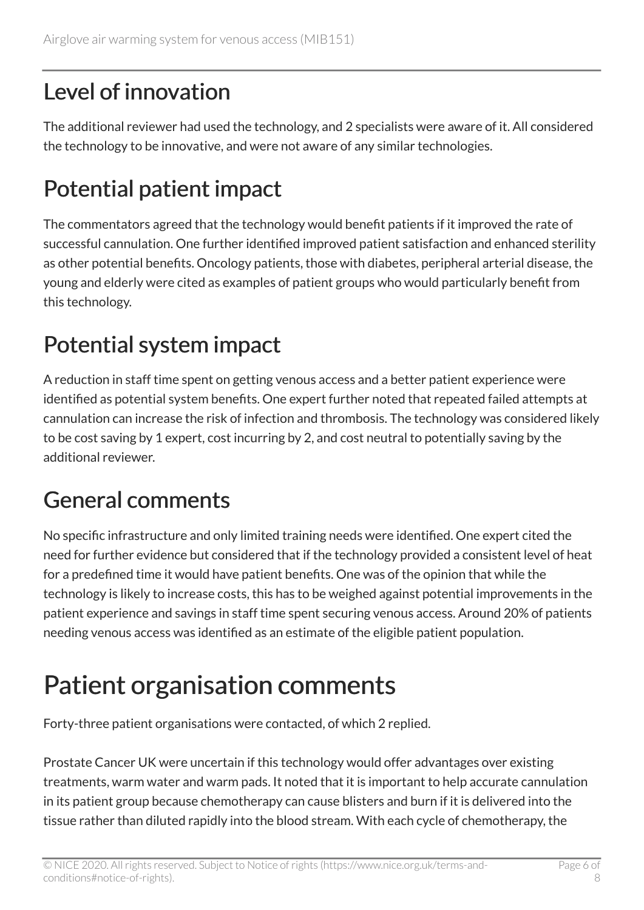#### Level of innovation

The additional reviewer had used the technology, and 2 specialists were aware of it. All considered the technology to be innovative, and were not aware of any similar technologies.

### Potential patient impact

The commentators agreed that the technology would benefit patients if it improved the rate of successful cannulation. One further identified improved patient satisfaction and enhanced sterility as other potential benefits. Oncology patients, those with diabetes, peripheral arterial disease, the young and elderly were cited as examples of patient groups who would particularly benefit from this technology.

#### Potential system impact

A reduction in staff time spent on getting venous access and a better patient experience were identified as potential system benefits. One expert further noted that repeated failed attempts at cannulation can increase the risk of infection and thrombosis. The technology was considered likely to be cost saving by 1 expert, cost incurring by 2, and cost neutral to potentially saving by the additional reviewer.

#### General comments

No specific infrastructure and only limited training needs were identified. One expert cited the need for further evidence but considered that if the technology provided a consistent level of heat for a predefined time it would have patient benefits. One was of the opinion that while the technology is likely to increase costs, this has to be weighed against potential improvements in the patient experience and savings in staff time spent securing venous access. Around 20% of patients needing venous access was identified as an estimate of the eligible patient population.

## Patient organisation comments

Forty-three patient organisations were contacted, of which 2 replied.

Prostate Cancer UK were uncertain if this technology would offer advantages over existing treatments, warm water and warm pads. It noted that it is important to help accurate cannulation in its patient group because chemotherapy can cause blisters and burn if it is delivered into the tissue rather than diluted rapidly into the blood stream. With each cycle of chemotherapy, the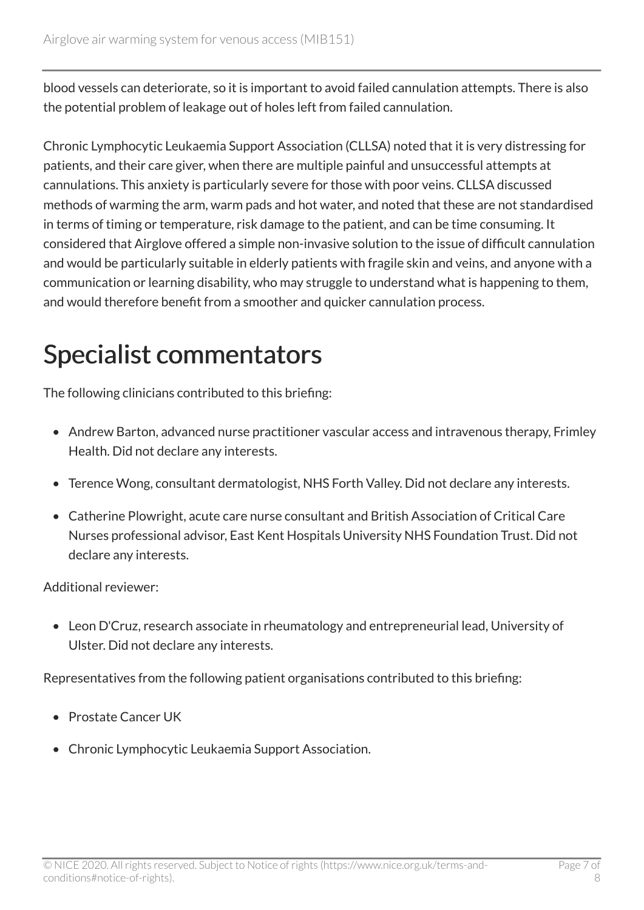blood vessels can deteriorate, so it is important to avoid failed cannulation attempts. There is also the potential problem of leakage out of holes left from failed cannulation.

Chronic Lymphocytic Leukaemia Support Association (CLLSA) noted that it is very distressing for patients, and their care giver, when there are multiple painful and unsuccessful attempts at cannulations. This anxiety is particularly severe for those with poor veins. CLLSA discussed methods of warming the arm, warm pads and hot water, and noted that these are not standardised in terms of timing or temperature, risk damage to the patient, and can be time consuming. It considered that Airglove offered a simple non-invasive solution to the issue of difficult cannulation and would be particularly suitable in elderly patients with fragile skin and veins, and anyone with a communication or learning disability, who may struggle to understand what is happening to them, and would therefore benefit from a smoother and quicker cannulation process.

### Specialist commentators

The following clinicians contributed to this briefing:

- Andrew Barton, advanced nurse practitioner vascular access and intravenous therapy, Frimley Health. Did not declare any interests.
- Terence Wong, consultant dermatologist, NHS Forth Valley. Did not declare any interests.
- Catherine Plowright, acute care nurse consultant and British Association of Critical Care Nurses professional advisor, East Kent Hospitals University NHS Foundation Trust. Did not declare any interests.

Additional reviewer:

• Leon D'Cruz, research associate in rheumatology and entrepreneurial lead, University of Ulster. Did not declare any interests.

Representatives from the following patient organisations contributed to this briefing:

- Prostate Cancer UK
- Chronic Lymphocytic Leukaemia Support Association.